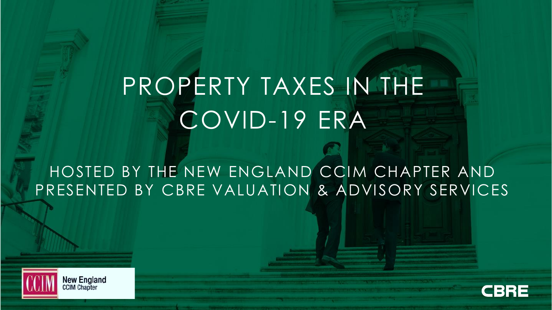# PROPERTY TAXES IN THE COVID-19 ERA

HOSTED BY THE NEW ENGLAND CCIM CHAPTER AND PRESENTED BY CBRE VALUATION & ADVISORY SERVICES



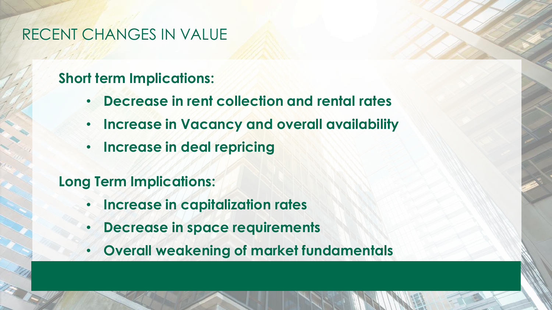## RECENT CHANGES IN VALUE

## **Short term Implications:**

- **Decrease in rent collection and rental rates**
- **Increase in Vacancy and overall availability**
- **Increase in deal repricing**

## **Long Term Implications:**

- **Increase in capitalization rates**
- **Decrease in space requirements**
- **Overall weakening of market fundamentals**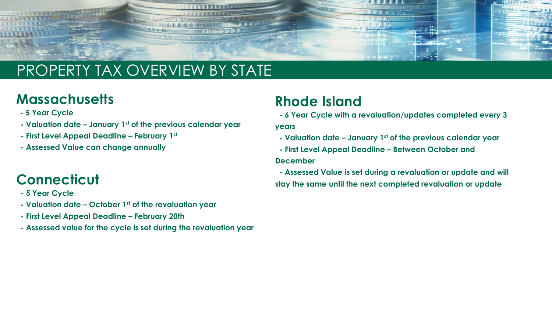

# PROPERTY TAX OVERVIEW BY STATE

## **Massachusetts**

- **- 5 Year Cycle**
- **- Valuation date – January 1st of the previous calendar year**
- **- First Level Appeal Deadline – February 1st**
- **- Assessed Value can change annually**

## **Connecticut**

- **- 5 Year Cycle**
- **- Valuation date – October 1st of the revaluation year**
- **- First Level Appeal Deadline – February 20th**
- **- Assessed value for the cycle is set during the revaluation year**

## **Rhode Island**

**- 6 Year Cycle with a revaluation/updates completed every 3** 

#### **years**

- **- Valuation date – January 1st of the previous calendar year**
- **- First Level Appeal Deadline – Between October and December**
- **- Assessed Value is set during a revaluation or update and will stay the same until the next completed revaluation or update**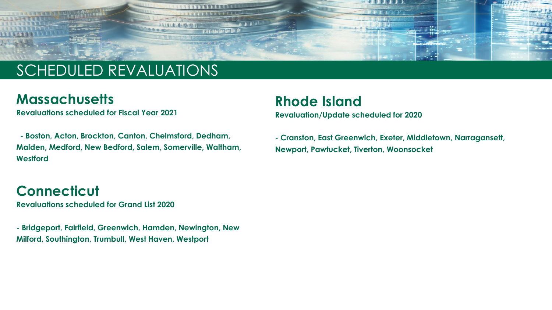

# SCHEDULED REVALUATIONS

### **Massachusetts**

**Revaluations scheduled for Fiscal Year 2021**

**- Boston, Acton, Brockton, Canton, Chelmsford, Dedham, Malden, Medford, New Bedford, Salem, Somerville, Waltham, Westford**

## **Connecticut**

**Revaluations scheduled for Grand List 2020**

**- Bridgeport, Fairfield, Greenwich, Hamden, Newington, New Milford, Southington, Trumbull, West Haven, Westport**

### **Rhode Island**

**Revaluation/Update scheduled for 2020**

**- Cranston, East Greenwich, Exeter, Middletown, Narragansett, Newport, Pawtucket, Tiverton, Woonsocket**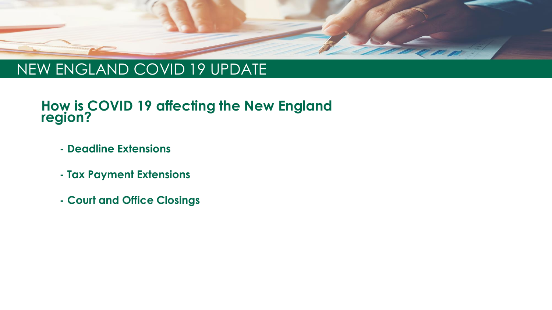

## NEW ENGLAND COVID 19 UPDATE

### **How is COVID 19 affecting the New England region?**

- **- Deadline Extensions**
- **- Tax Payment Extensions**
- **- Court and Office Closings**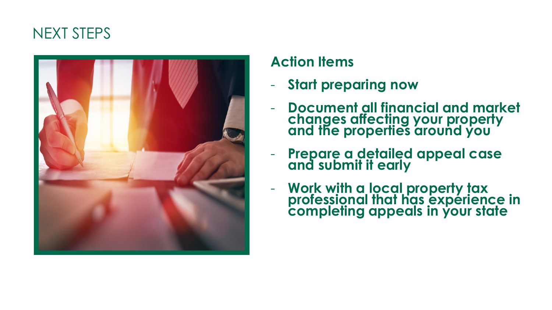## NEXT STEPS



## **Action Items**

- **Start preparing now**
- **Document all financial and market changes affecting your property and the properties around you**
- **Prepare a detailed appeal case and submit it early**
- **Work with a local property tax professional that has experience in completing appeals in your state**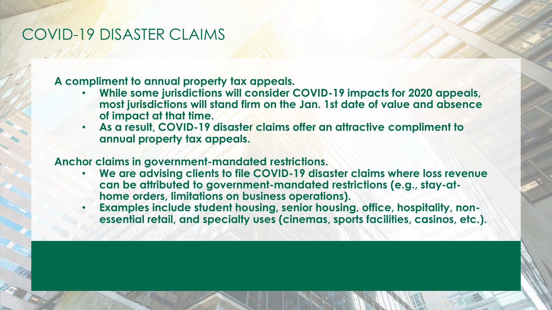## COVID-19 DISASTER CLAIMS

**A compliment to annual property tax appeals.**

- **While some jurisdictions will consider COVID-19 impacts for 2020 appeals, most jurisdictions will stand firm on the Jan. 1st date of value and absence of impact at that time.**
- **As a result, COVID-19 disaster claims offer an attractive compliment to annual property tax appeals.**

#### **Anchor claims in government-mandated restrictions.**

- **We are advising clients to file COVID-19 disaster claims where loss revenue can be attributed to government-mandated restrictions (e.g., stay-athome orders, limitations on business operations).**
- **Examples include student housing, senior housing, office, hospitality, nonessential retail, and specialty uses (cinemas, sports facilities, casinos, etc.).**